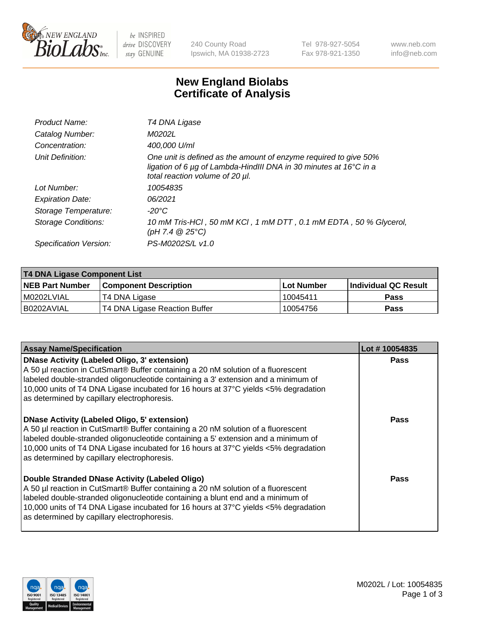

be INSPIRED drive DISCOVERY stay GENUINE

240 County Road Ipswich, MA 01938-2723 Tel 978-927-5054 Fax 978-921-1350 www.neb.com info@neb.com

## **New England Biolabs Certificate of Analysis**

| Product Name:           | T4 DNA Ligase                                                                                                                                                            |
|-------------------------|--------------------------------------------------------------------------------------------------------------------------------------------------------------------------|
| Catalog Number:         | M0202L                                                                                                                                                                   |
| Concentration:          | 400,000 U/ml                                                                                                                                                             |
| Unit Definition:        | One unit is defined as the amount of enzyme required to give 50%<br>ligation of 6 µg of Lambda-HindIII DNA in 30 minutes at 16°C in a<br>total reaction volume of 20 µl. |
| Lot Number:             | 10054835                                                                                                                                                                 |
| <b>Expiration Date:</b> | 06/2021                                                                                                                                                                  |
| Storage Temperature:    | $-20^{\circ}$ C                                                                                                                                                          |
| Storage Conditions:     | 10 mM Tris-HCl, 50 mM KCl, 1 mM DTT, 0.1 mM EDTA, 50 % Glycerol,<br>(pH 7.4 $@25°C$ )                                                                                    |
| Specification Version:  | PS-M0202S/L v1.0                                                                                                                                                         |

| T4 DNA Ligase Component List |                               |                   |                      |  |
|------------------------------|-------------------------------|-------------------|----------------------|--|
| <b>NEB Part Number</b>       | <b>Component Description</b>  | <b>Lot Number</b> | Individual QC Result |  |
| I M0202LVIAL                 | T4 DNA Ligase                 | 10045411          | <b>Pass</b>          |  |
| I B0202AVIAL                 | T4 DNA Ligase Reaction Buffer | 10054756          | <b>Pass</b>          |  |

| <b>Assay Name/Specification</b>                                                                                                                                                                                                                                                                                                                                      | Lot #10054835 |
|----------------------------------------------------------------------------------------------------------------------------------------------------------------------------------------------------------------------------------------------------------------------------------------------------------------------------------------------------------------------|---------------|
| <b>DNase Activity (Labeled Oligo, 3' extension)</b><br>A 50 µl reaction in CutSmart® Buffer containing a 20 nM solution of a fluorescent<br>labeled double-stranded oligonucleotide containing a 3' extension and a minimum of<br>10,000 units of T4 DNA Ligase incubated for 16 hours at 37°C yields <5% degradation<br>as determined by capillary electrophoresis. | <b>Pass</b>   |
| <b>DNase Activity (Labeled Oligo, 5' extension)</b><br>A 50 µl reaction in CutSmart® Buffer containing a 20 nM solution of a fluorescent<br>labeled double-stranded oligonucleotide containing a 5' extension and a minimum of<br>10,000 units of T4 DNA Ligase incubated for 16 hours at 37°C yields <5% degradation<br>as determined by capillary electrophoresis. | Pass          |
| Double Stranded DNase Activity (Labeled Oligo)<br>A 50 µl reaction in CutSmart® Buffer containing a 20 nM solution of a fluorescent<br>labeled double-stranded oligonucleotide containing a blunt end and a minimum of<br>10,000 units of T4 DNA Ligase incubated for 16 hours at 37°C yields <5% degradation<br>as determined by capillary electrophoresis.         | Pass          |

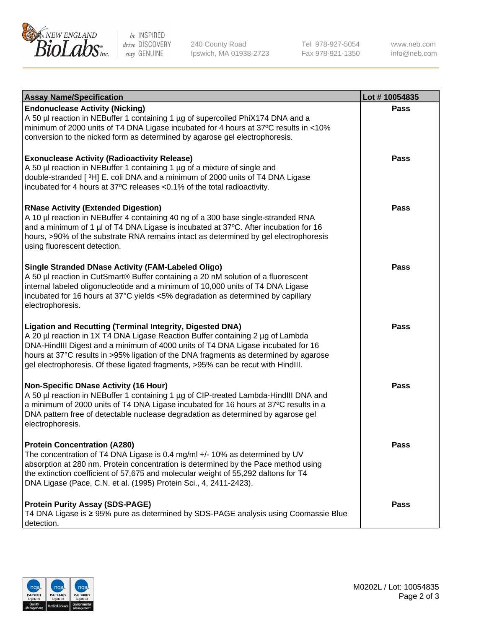

be INSPIRED drive DISCOVERY stay GENUINE

240 County Road Ipswich, MA 01938-2723 Tel 978-927-5054 Fax 978-921-1350

www.neb.com info@neb.com

| <b>Assay Name/Specification</b>                                                                                                                                                                                                                                                                                                                                                                             | Lot #10054835 |
|-------------------------------------------------------------------------------------------------------------------------------------------------------------------------------------------------------------------------------------------------------------------------------------------------------------------------------------------------------------------------------------------------------------|---------------|
| <b>Endonuclease Activity (Nicking)</b><br>A 50 µl reaction in NEBuffer 1 containing 1 µg of supercoiled PhiX174 DNA and a<br>minimum of 2000 units of T4 DNA Ligase incubated for 4 hours at 37°C results in <10%<br>conversion to the nicked form as determined by agarose gel electrophoresis.                                                                                                            | <b>Pass</b>   |
| <b>Exonuclease Activity (Radioactivity Release)</b><br>A 50 µl reaction in NEBuffer 1 containing 1 µg of a mixture of single and<br>double-stranded [3H] E. coli DNA and a minimum of 2000 units of T4 DNA Ligase<br>incubated for 4 hours at 37°C releases <0.1% of the total radioactivity.                                                                                                               | <b>Pass</b>   |
| <b>RNase Activity (Extended Digestion)</b><br>A 10 µl reaction in NEBuffer 4 containing 40 ng of a 300 base single-stranded RNA<br>and a minimum of 1 µl of T4 DNA Ligase is incubated at 37°C. After incubation for 16<br>hours, >90% of the substrate RNA remains intact as determined by gel electrophoresis<br>using fluorescent detection.                                                             | <b>Pass</b>   |
| <b>Single Stranded DNase Activity (FAM-Labeled Oligo)</b><br>A 50 µl reaction in CutSmart® Buffer containing a 20 nM solution of a fluorescent<br>internal labeled oligonucleotide and a minimum of 10,000 units of T4 DNA Ligase<br>incubated for 16 hours at 37°C yields <5% degradation as determined by capillary<br>electrophoresis.                                                                   | <b>Pass</b>   |
| Ligation and Recutting (Terminal Integrity, Digested DNA)<br>A 20 µl reaction in 1X T4 DNA Ligase Reaction Buffer containing 2 µg of Lambda<br>DNA-HindIII Digest and a minimum of 4000 units of T4 DNA Ligase incubated for 16<br>hours at 37°C results in >95% ligation of the DNA fragments as determined by agarose<br>gel electrophoresis. Of these ligated fragments, >95% can be recut with HindIII. | <b>Pass</b>   |
| <b>Non-Specific DNase Activity (16 Hour)</b><br>A 50 µl reaction in NEBuffer 1 containing 1 µg of CIP-treated Lambda-HindIII DNA and<br>a minimum of 2000 units of T4 DNA Ligase incubated for 16 hours at 37°C results in a<br>DNA pattern free of detectable nuclease degradation as determined by agarose gel<br>electrophoresis.                                                                        | <b>Pass</b>   |
| <b>Protein Concentration (A280)</b><br>The concentration of T4 DNA Ligase is 0.4 mg/ml +/- 10% as determined by UV<br>absorption at 280 nm. Protein concentration is determined by the Pace method using<br>the extinction coefficient of 57,675 and molecular weight of 55,292 daltons for T4<br>DNA Ligase (Pace, C.N. et al. (1995) Protein Sci., 4, 2411-2423).                                         | <b>Pass</b>   |
| <b>Protein Purity Assay (SDS-PAGE)</b><br>T4 DNA Ligase is ≥ 95% pure as determined by SDS-PAGE analysis using Coomassie Blue<br>detection.                                                                                                                                                                                                                                                                 | <b>Pass</b>   |